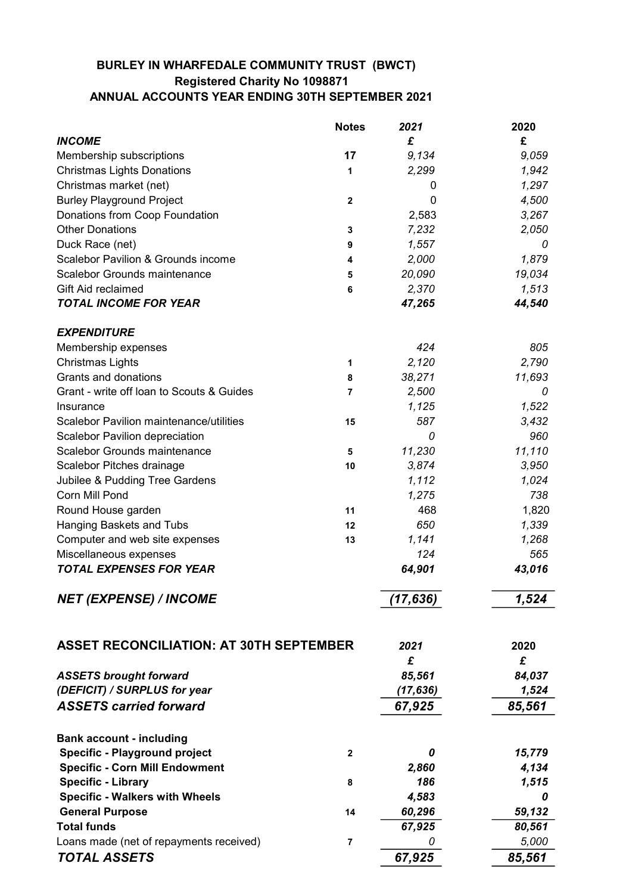## BURLEY IN WHARFEDALE COMMUNITY TRUST (BWCT) Registered Charity No 1098871 ANNUAL ACCOUNTS YEAR ENDING 30TH SEPTEMBER 2021

|                                                | <b>Notes</b>   | 2021      | 2020   |
|------------------------------------------------|----------------|-----------|--------|
| <b>INCOME</b>                                  |                | £         | £      |
| Membership subscriptions                       | 17             | 9,134     | 9,059  |
| <b>Christmas Lights Donations</b>              | 1              | 2,299     | 1,942  |
| Christmas market (net)                         |                | 0         | 1,297  |
| <b>Burley Playground Project</b>               | $\mathbf 2$    | 0         | 4,500  |
| Donations from Coop Foundation                 |                | 2,583     | 3,267  |
| <b>Other Donations</b>                         | 3              | 7,232     | 2,050  |
| Duck Race (net)                                | 9              | 1,557     | 0      |
| Scalebor Pavilion & Grounds income             | 4              | 2,000     | 1,879  |
| <b>Scalebor Grounds maintenance</b>            | 5              | 20,090    | 19,034 |
| Gift Aid reclaimed                             | 6              | 2,370     | 1,513  |
| <b>TOTAL INCOME FOR YEAR</b>                   |                | 47,265    | 44,540 |
| <b>EXPENDITURE</b>                             |                |           |        |
| Membership expenses                            |                | 424       | 805    |
| <b>Christmas Lights</b>                        | 1              | 2,120     | 2,790  |
| Grants and donations                           | 8              | 38,271    | 11,693 |
| Grant - write off loan to Scouts & Guides      | $\overline{7}$ | 2,500     | 0      |
| Insurance                                      |                | 1,125     | 1,522  |
| Scalebor Pavilion maintenance/utilities        | 15             | 587       | 3,432  |
| <b>Scalebor Pavilion depreciation</b>          |                | 0         | 960    |
| <b>Scalebor Grounds maintenance</b>            | 5              | 11,230    | 11,110 |
| Scalebor Pitches drainage                      | 10             | 3,874     | 3,950  |
| Jubilee & Pudding Tree Gardens                 |                | 1,112     | 1,024  |
| Corn Mill Pond                                 |                | 1,275     | 738    |
| Round House garden                             | 11             | 468       | 1,820  |
| Hanging Baskets and Tubs                       | 12             | 650       | 1,339  |
| Computer and web site expenses                 | 13             | 1,141     | 1,268  |
| Miscellaneous expenses                         |                | 124       | 565    |
| <b>TOTAL EXPENSES FOR YEAR</b>                 |                | 64,901    | 43,016 |
| <b>NET (EXPENSE) / INCOME</b>                  |                | (17,636)  | 1,524  |
|                                                |                |           |        |
| <b>ASSET RECONCILIATION: AT 30TH SEPTEMBER</b> |                | 2021      | 2020   |
|                                                |                | £         | £      |
| <b>ASSETS brought forward</b>                  |                | 85,561    | 84,037 |
| (DEFICIT) / SURPLUS for year                   |                | (17, 636) | 1,524  |
| <b>ASSETS carried forward</b>                  |                | 67,925    | 85,561 |
| <b>Bank account - including</b>                |                |           |        |
| <b>Specific - Playground project</b>           | $\mathbf{2}$   | 0         | 15,779 |
| <b>Specific - Corn Mill Endowment</b>          |                | 2,860     | 4,134  |
| <b>Specific - Library</b>                      | 8              | 186       | 1,515  |
| <b>Specific - Walkers with Wheels</b>          |                | 4,583     | 0      |
| <b>General Purpose</b>                         | 14             | 60,296    | 59,132 |
| <b>Total funds</b>                             |                | 67,925    | 80,561 |
| Loans made (net of repayments received)        | $\bf 7$        | 0         | 5,000  |
| <b>TOTAL ASSETS</b>                            |                | 67,925    | 85,561 |